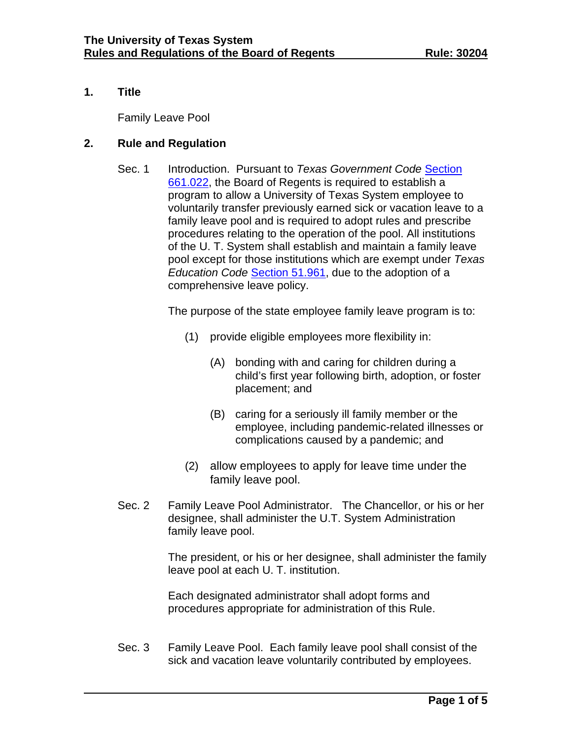### **1. Title**

Family Leave Pool

## **2. Rule and Regulation**

Sec. 1 Introduction. Pursuant to *Texas Government Code* [Section](https://capitol.texas.gov/tlodocs/87R/billtext/pdf/HB02063F.pdf#navpanes=0)  [661.022,](https://capitol.texas.gov/tlodocs/87R/billtext/pdf/HB02063F.pdf#navpanes=0) the Board of Regents is required to establish a program to allow a University of Texas System employee to voluntarily transfer previously earned sick or vacation leave to a family leave pool and is required to adopt rules and prescribe procedures relating to the operation of the pool. All institutions of the U. T. System shall establish and maintain a family leave pool except for those institutions which are exempt under *Texas Education Code* [Section 51.961,](http://www.statutes.legis.state.tx.us/Docs/ED/htm/ED.51.htm#51.961) due to the adoption of a comprehensive leave policy.

The purpose of the state employee family leave program is to:

- (1) provide eligible employees more flexibility in:
	- (A) bonding with and caring for children during a child's first year following birth, adoption, or foster placement; and
	- (B) caring for a seriously ill family member or the employee, including pandemic-related illnesses or complications caused by a pandemic; and
- (2) allow employees to apply for leave time under the family leave pool.
- Sec. 2 Family Leave Pool Administrator. The Chancellor, or his or her designee, shall administer the U.T. System Administration family leave pool.

The president, or his or her designee, shall administer the family leave pool at each U. T. institution.

Each designated administrator shall adopt forms and procedures appropriate for administration of this Rule.

Sec. 3 Family Leave Pool. Each family leave pool shall consist of the sick and vacation leave voluntarily contributed by employees.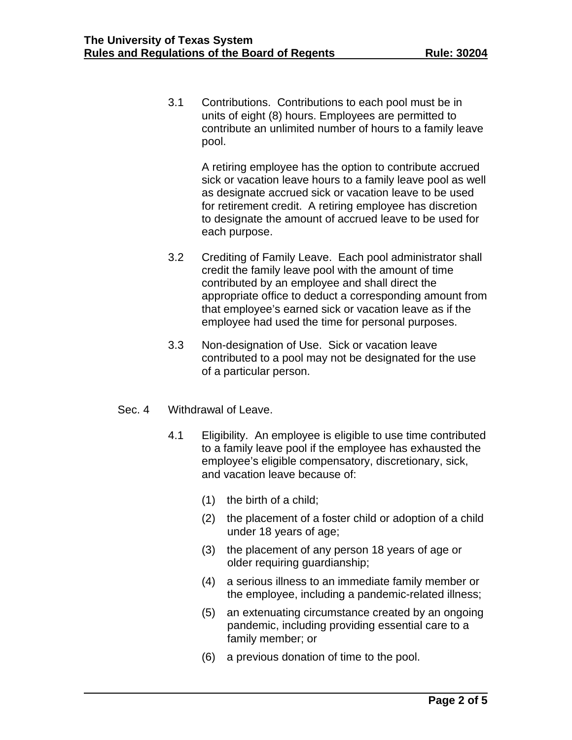3.1 Contributions. Contributions to each pool must be in units of eight (8) hours. Employees are permitted to contribute an unlimited number of hours to a family leave pool.

> A retiring employee has the option to contribute accrued sick or vacation leave hours to a family leave pool as well as designate accrued sick or vacation leave to be used for retirement credit. A retiring employee has discretion to designate the amount of accrued leave to be used for each purpose.

- 3.2 Crediting of Family Leave. Each pool administrator shall credit the family leave pool with the amount of time contributed by an employee and shall direct the appropriate office to deduct a corresponding amount from that employee's earned sick or vacation leave as if the employee had used the time for personal purposes.
- 3.3 Non-designation of Use. Sick or vacation leave contributed to a pool may not be designated for the use of a particular person.
- Sec. 4 Withdrawal of Leave.
	- 4.1 Eligibility. An employee is eligible to use time contributed to a family leave pool if the employee has exhausted the employee's eligible compensatory, discretionary, sick, and vacation leave because of:
		- (1) the birth of a child;
		- (2) the placement of a foster child or adoption of a child under 18 years of age;
		- (3) the placement of any person 18 years of age or older requiring guardianship;
		- (4) a serious illness to an immediate family member or the employee, including a pandemic-related illness;
		- (5) an extenuating circumstance created by an ongoing pandemic, including providing essential care to a family member; or
		- (6) a previous donation of time to the pool.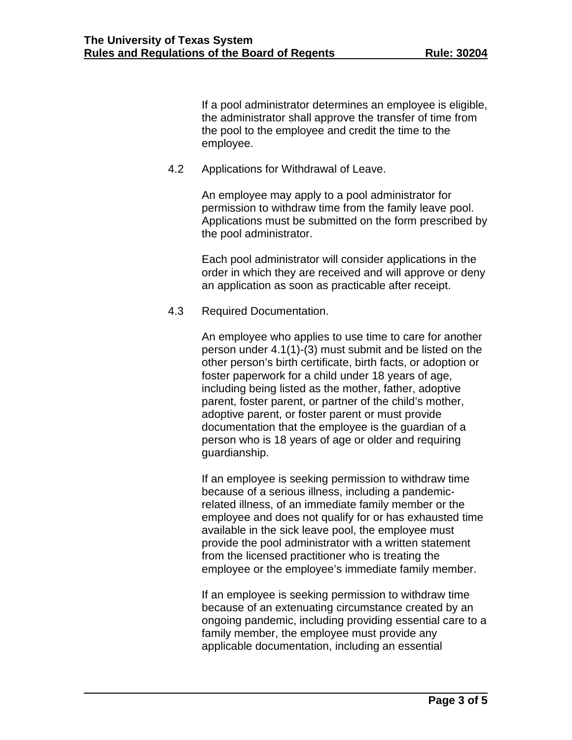If a pool administrator determines an employee is eligible, the administrator shall approve the transfer of time from the pool to the employee and credit the time to the employee.

4.2 Applications for Withdrawal of Leave.

An employee may apply to a pool administrator for permission to withdraw time from the family leave pool. Applications must be submitted on the form prescribed by the pool administrator.

Each pool administrator will consider applications in the order in which they are received and will approve or deny an application as soon as practicable after receipt.

4.3 Required Documentation.

An employee who applies to use time to care for another person under 4.1(1)-(3) must submit and be listed on the other person's birth certificate, birth facts, or adoption or foster paperwork for a child under 18 years of age, including being listed as the mother, father, adoptive parent, foster parent, or partner of the child's mother, adoptive parent, or foster parent or must provide documentation that the employee is the guardian of a person who is 18 years of age or older and requiring guardianship.

If an employee is seeking permission to withdraw time because of a serious illness, including a pandemicrelated illness, of an immediate family member or the employee and does not qualify for or has exhausted time available in the sick leave pool, the employee must provide the pool administrator with a written statement from the licensed practitioner who is treating the employee or the employee's immediate family member.

If an employee is seeking permission to withdraw time because of an extenuating circumstance created by an ongoing pandemic, including providing essential care to a family member, the employee must provide any applicable documentation, including an essential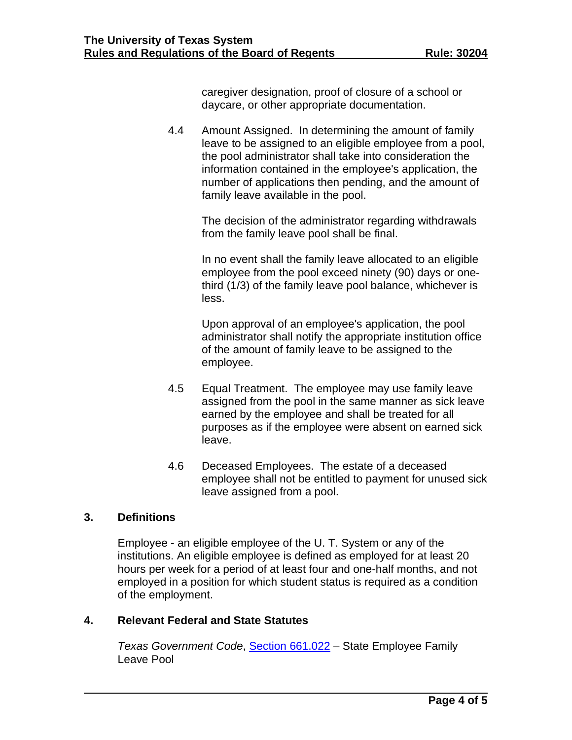caregiver designation, proof of closure of a school or daycare, or other appropriate documentation.

4.4 Amount Assigned. In determining the amount of family leave to be assigned to an eligible employee from a pool, the pool administrator shall take into consideration the information contained in the employee's application, the number of applications then pending, and the amount of family leave available in the pool.

> The decision of the administrator regarding withdrawals from the family leave pool shall be final.

In no event shall the family leave allocated to an eligible employee from the pool exceed ninety (90) days or onethird (1/3) of the family leave pool balance, whichever is less.

Upon approval of an employee's application, the pool administrator shall notify the appropriate institution office of the amount of family leave to be assigned to the employee.

- 4.5 Equal Treatment. The employee may use family leave assigned from the pool in the same manner as sick leave earned by the employee and shall be treated for all purposes as if the employee were absent on earned sick leave.
- 4.6 Deceased Employees. The estate of a deceased employee shall not be entitled to payment for unused sick leave assigned from a pool.

#### **3. Definitions**

Employee - an eligible employee of the U. T. System or any of the institutions. An eligible employee is defined as employed for at least 20 hours per week for a period of at least four and one-half months, and not employed in a position for which student status is required as a condition of the employment.

#### **4. Relevant Federal and State Statutes**

*Texas Government Code*, [Section 661.022](https://capitol.texas.gov/tlodocs/87R/billtext/pdf/HB02063F.pdf#navpanes=0) – State Employee Family Leave Pool